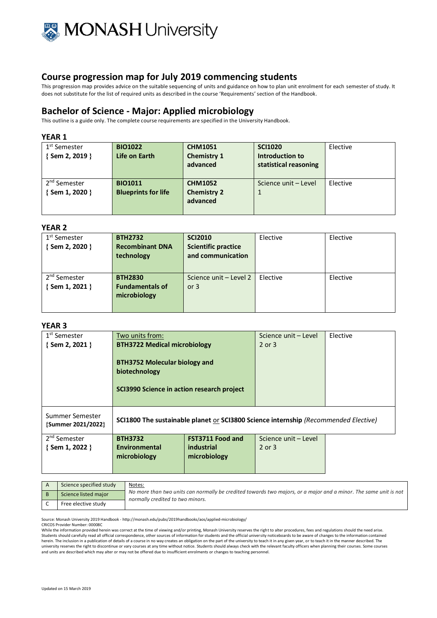

This progression map provides advice on the suitable sequencing of units and guidance on how to plan unit enrolment for each semester of study. It does not substitute for the list of required units as described in the course 'Requirements' section of the Handbook.

# **Bachelor of Science - Major: Applied microbiology**

This outline is a guide only. The complete course requirements are specified in the University Handbook.

### **YEAR 1**

| 1 <sup>st</sup> Semester<br>{Sem 2, 2019 }  | <b>BIO1022</b><br>Life on Earth              | <b>CHM1051</b><br><b>Chemistry 1</b><br>advanced | <b>SCI1020</b><br>Introduction to<br>statistical reasoning | Elective |
|---------------------------------------------|----------------------------------------------|--------------------------------------------------|------------------------------------------------------------|----------|
| 2 <sup>nd</sup> Semester<br>{ Sem 1, 2020 } | <b>BIO1011</b><br><b>Blueprints for life</b> | <b>CHM1052</b><br><b>Chemistry 2</b><br>advanced | Science unit - Level                                       | Elective |

## **YEAR 2**

| 1 <sup>st</sup> Semester<br>{Sem 2, 2020 } | <b>BTH2732</b><br><b>Recombinant DNA</b><br>technology   | <b>SCI2010</b><br><b>Scientific practice</b><br>and communication | Elective | Elective |
|--------------------------------------------|----------------------------------------------------------|-------------------------------------------------------------------|----------|----------|
| 2 <sup>nd</sup> Semester<br>{Sem 1, 2021 } | <b>BTH2830</b><br><b>Fundamentals of</b><br>microbiology | Science unit - Level 2<br>or $3$                                  | Elective | Elective |

#### **YEAR 3**

|                                                                                                     |                         | Science unit – Level                | Elective |
|-----------------------------------------------------------------------------------------------------|-------------------------|-------------------------------------|----------|
|                                                                                                     |                         | 2 or 3                              |          |
| <b>BTH3752 Molecular biology and</b><br>biotechnology<br>SCI3990 Science in action research project |                         |                                     |          |
| SCI1800 The sustainable planet or SCI3800 Science internship (Recommended Elective)                 |                         |                                     |          |
| <b>BTH3732</b>                                                                                      | <b>FST3711 Food and</b> | Science unit - Level                |          |
| Environmental                                                                                       | industrial              | 2 or 3                              |          |
| microbiology                                                                                        | microbiology            |                                     |          |
|                                                                                                     |                         |                                     |          |
|                                                                                                     |                         | <b>BTH3722 Medical microbiology</b> |          |

| Science specified study | Notes:<br>No more than two units can normally be credited towards two majors, or a major and a minor. The same unit is not<br>normally credited to two minors. |
|-------------------------|----------------------------------------------------------------------------------------------------------------------------------------------------------------|
| Science listed major    |                                                                                                                                                                |
| Free elective study     |                                                                                                                                                                |

Source: Monash University 2019 Handbook - http://monash.edu/pubs/2019handbooks/aos/applied-microbiology/

CRICOS Provider Number: 00008C

While the information provided herein was correct at the time of viewing and/or printing, Monash University reserves the right to alter procedures, fees and regulations should the need arise. Students should carefully read all official correspondence, other sources of information for students and the official university noticeboards to be aware of changes to the information contained herein. The inclusion in a publication of details of a course in no way creates an obligation on the part of the university to teach it in any given year, or to teach it in the manner described. The university reserves the right to discontinue or vary courses at any time without notice. Students should always check with the relevant faculty officers when planning their courses. Some courses and units are described which may alter or may not be offered due to insufficient enrolments or changes to teaching personnel.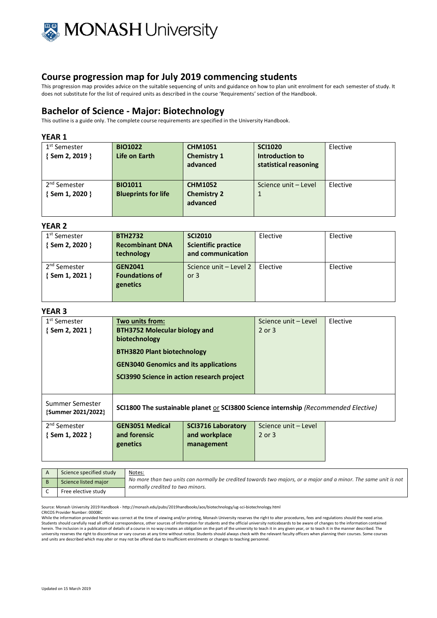

This progression map provides advice on the suitable sequencing of units and guidance on how to plan unit enrolment for each semester of study. It does not substitute for the list of required units as described in the course 'Requirements' section of the Handbook.

# **Bachelor of Science - Major: Biotechnology**

This outline is a guide only. The complete course requirements are specified in the University Handbook.

### **YEAR 1**

| 1 <sup>st</sup> Semester<br>{Sem 2, 2019 }  | <b>BIO1022</b><br>Life on Earth              | <b>CHM1051</b><br><b>Chemistry 1</b><br>advanced | <b>SCI1020</b><br>Introduction to<br>statistical reasoning | Elective |
|---------------------------------------------|----------------------------------------------|--------------------------------------------------|------------------------------------------------------------|----------|
| 2 <sup>nd</sup> Semester<br>{ Sem 1, 2020 } | <b>BIO1011</b><br><b>Blueprints for life</b> | <b>CHM1052</b><br><b>Chemistry 2</b><br>advanced | Science unit - Level                                       | Elective |

#### **YEAR 2**

| 1 <sup>st</sup> Semester | <b>BTH2732</b>         | <b>SCI2010</b>             | Elective | Elective |
|--------------------------|------------------------|----------------------------|----------|----------|
| $\{$ Sem 2, 2020 $\}$    | <b>Recombinant DNA</b> | <b>Scientific practice</b> |          |          |
|                          | technology             | and communication          |          |          |
| 2 <sup>nd</sup> Semester | <b>GEN2041</b>         | Science unit - Level 2     | Elective | Elective |
| {Sem 1, 2021 }           | <b>Foundations of</b>  | or $3$                     |          |          |
|                          | genetics               |                            |          |          |
|                          |                        |                            |          |          |

#### **YEAR 3**

| 1 <sup>st</sup> Semester              | Two units from:                              |                                                                                     | Science unit - Level | Elective |
|---------------------------------------|----------------------------------------------|-------------------------------------------------------------------------------------|----------------------|----------|
| $\{$ Sem 2, 2021 $\}$                 | <b>BTH3752 Molecular biology and</b>         |                                                                                     | 2 or 3               |          |
|                                       | biotechnology                                |                                                                                     |                      |          |
|                                       | <b>BTH3820 Plant biotechnology</b>           |                                                                                     |                      |          |
|                                       | <b>GEN3040 Genomics and its applications</b> |                                                                                     |                      |          |
|                                       | SCI3990 Science in action research project   |                                                                                     |                      |          |
|                                       |                                              |                                                                                     |                      |          |
| Summer Semester<br>{Summer 2021/2022} |                                              | SCI1800 The sustainable planet or SCI3800 Science internship (Recommended Elective) |                      |          |
| 2 <sup>nd</sup> Semester              | <b>GEN3051 Medical</b>                       | <b>SCI3716 Laboratory</b>                                                           | Science unit - Level |          |
| $\{$ Sem 1, 2022 $\}$                 | and forensic                                 | and workplace                                                                       | $2$ or $3$           |          |
|                                       | genetics                                     | management                                                                          |                      |          |
|                                       |                                              |                                                                                     |                      |          |
|                                       |                                              |                                                                                     |                      |          |

| Science specified study | Notes:<br>No more than two units can normally be credited towards two majors, or a major and a minor. The same unit is not<br>normally credited to two minors. |
|-------------------------|----------------------------------------------------------------------------------------------------------------------------------------------------------------|
| Science listed major    |                                                                                                                                                                |
| Free elective study     |                                                                                                                                                                |

Source: Monash University 2019 Handbook - http://monash.edu/pubs/2019handbooks/aos/biotechnology/ug-sci-biotechnology.html

CRICOS Provider Number: 00008C

While the information provided herein was correct at the time of viewing and/or printing, Monash University reserves the right to alter procedures, fees and regulations should the need arise.<br>Students should carefully read herein. The inclusion in a publication of details of a course in no way creates an obligation on the part of the university to teach it in any given year, or to teach it in the manner described. The<br>university reserves the and units are described which may alter or may not be offered due to insufficient enrolments or changes to teaching personnel.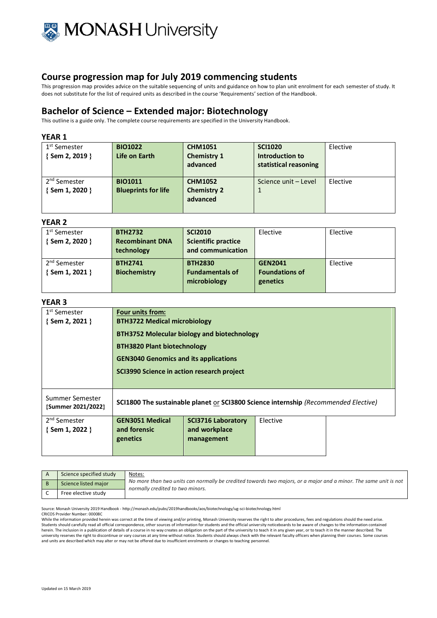

This progression map provides advice on the suitable sequencing of units and guidance on how to plan unit enrolment for each semester of study. It does not substitute for the list of required units as described in the course 'Requirements' section of the Handbook.

# **Bachelor of Science – Extended major: Biotechnology**

This outline is a guide only. The complete course requirements are specified in the University Handbook.

### **YEAR 1**

| 1 <sup>st</sup> Semester<br>$\{$ Sem 2, 2019 $\}$ | <b>BIO1022</b><br>Life on Earth | <b>CHM1051</b><br><b>Chemistry 1</b><br>advanced | <b>SCI1020</b><br>Introduction to<br>statistical reasoning | Elective |
|---------------------------------------------------|---------------------------------|--------------------------------------------------|------------------------------------------------------------|----------|
| 2 <sup>nd</sup> Semester                          | <b>BIO1011</b>                  | <b>CHM1052</b>                                   | Science unit - Level                                       | Elective |
| {Sem 1, 2020 }                                    | <b>Blueprints for life</b>      | <b>Chemistry 2</b>                               |                                                            |          |
|                                                   |                                 | advanced                                         |                                                            |          |
|                                                   |                                 |                                                  |                                                            |          |

## **YEAR 2**

| 1 <sup>st</sup> Semester | <b>BTH2732</b>         | <b>SCI2010</b>             | Elective              | Elective |
|--------------------------|------------------------|----------------------------|-----------------------|----------|
| $\{$ Sem 2, 2020 $\}$    | <b>Recombinant DNA</b> | <b>Scientific practice</b> |                       |          |
|                          | technology             | and communication          |                       |          |
| 2 <sup>nd</sup> Semester | <b>BTH2741</b>         | <b>BTH2830</b>             | <b>GEN2041</b>        | Elective |
|                          |                        | <b>Fundamentals of</b>     | <b>Foundations of</b> |          |
| { Sem 1, 2021 }          | <b>Biochemistry</b>    |                            |                       |          |
|                          |                        | microbiology               | genetics              |          |
|                          |                        |                            |                       |          |

## **YEAR 3**

| 1 <sup>st</sup> Semester<br>$\{$ Sem 2, 2021 $\}$ | <b>Four units from:</b><br><b>BTH3722 Medical microbiology</b>                      |                                              |          |  |  |
|---------------------------------------------------|-------------------------------------------------------------------------------------|----------------------------------------------|----------|--|--|
|                                                   | <b>BTH3752 Molecular biology and biotechnology</b>                                  |                                              |          |  |  |
|                                                   | <b>BTH3820 Plant biotechnology</b>                                                  |                                              |          |  |  |
|                                                   |                                                                                     | <b>GEN3040 Genomics and its applications</b> |          |  |  |
|                                                   |                                                                                     | SCI3990 Science in action research project   |          |  |  |
|                                                   |                                                                                     |                                              |          |  |  |
| Summer Semester<br>{Summer 2021/2022}             | SCI1800 The sustainable planet or SCI3800 Science internship (Recommended Elective) |                                              |          |  |  |
| 2 <sup>nd</sup> Semester                          | <b>GEN3051 Medical</b>                                                              | <b>SCI3716 Laboratory</b>                    | Elective |  |  |
| $\{$ Sem 1, 2022 $\}$                             | and forensic                                                                        | and workplace<br>management                  |          |  |  |
|                                                   | genetics                                                                            |                                              |          |  |  |
|                                                   |                                                                                     |                                              |          |  |  |

| Science specified study | <u>Notes:</u><br>No more than two units can normally be credited towards two majors, or a major and a minor. The same unit is not<br>normally credited to two minors. |
|-------------------------|-----------------------------------------------------------------------------------------------------------------------------------------------------------------------|
| Science listed major    |                                                                                                                                                                       |
| Free elective study     |                                                                                                                                                                       |

Source: Monash University 2019 Handbook - http://monash.edu/pubs/2019handbooks/aos/biotechnology/ug-sci-biotechnology.html

CRICOS Provider Number: 00008C

While the information provided herein was correct at the time of viewing and/or printing. Monash University reserves the right to alter procedures, fees and regulations should the need arise. Students should carefully read all official correspondence, other sources of information for students and the official university noticeboards to be aware of changes to the information contained<br>herein. The inclusion in a university reserves the right to discontinue or vary courses at any time without notice. Students should always check with the relevant faculty officers when planning their courses. Some courses and units are described which may alter or may not be offered due to insufficient enrolments or changes to teaching personnel.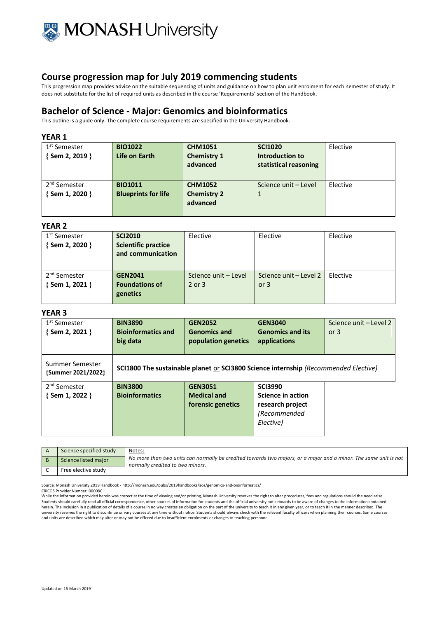

This progression map provides advice on the suitable sequencing of units and guidance on how to plan unit enrolment for each semester of study. It does not substitute for the list of required units as described in the course 'Requirements' section of the Handbook.

# **Bachelor of Science - Major: Genomics and bioinformatics**

This outline is a guide only. The complete course requirements are specified in the University Handbook.

### **YEAR 1**

| 1 <sup>st</sup> Semester<br>{Sem 2, 2019 }        | <b>BIO1022</b><br>Life on Earth              | <b>CHM1051</b><br><b>Chemistry 1</b><br>advanced | <b>SCI1020</b><br>Introduction to<br>statistical reasoning | Elective |
|---------------------------------------------------|----------------------------------------------|--------------------------------------------------|------------------------------------------------------------|----------|
| 2 <sup>nd</sup> Semester<br>$\{$ Sem 1, 2020 $\}$ | <b>BIO1011</b><br><b>Blueprints for life</b> | <b>CHM1052</b><br><b>Chemistry 2</b><br>advanced | Science unit - Level                                       | Elective |

### **YEAR 2**

| 1 <sup>st</sup> Semester<br>{Sem 2, 2020 } | <b>SCI2010</b><br><b>Scientific practice</b><br>and communication | Elective                           | Elective                         | Elective |
|--------------------------------------------|-------------------------------------------------------------------|------------------------------------|----------------------------------|----------|
| 2 <sup>nd</sup> Semester<br>{Sem 1, 2021 } | <b>GEN2041</b><br><b>Foundations of</b><br>genetics               | Science unit - Level<br>$2$ or $3$ | Science unit – Level 2<br>or $3$ | Elective |

## **YEAR 3**

| 1 <sup>st</sup> Semester<br>{Sem 2, 2021 } | <b>BIN3890</b><br><b>Bioinformatics and</b><br>big data | <b>GEN2052</b><br><b>Genomics and</b><br>population genetics | <b>GEN3040</b><br><b>Genomics and its</b><br>applications                           | Science unit - Level 2<br>or $3$ |
|--------------------------------------------|---------------------------------------------------------|--------------------------------------------------------------|-------------------------------------------------------------------------------------|----------------------------------|
| Summer Semester<br>{Summer 2021/2022}      |                                                         |                                                              | SCI1800 The sustainable planet or SCI3800 Science internship (Recommended Elective) |                                  |
| 2 <sup>nd</sup> Semester                   | <b>BIN3800</b>                                          | <b>GEN3051</b>                                               | <b>SCI3990</b>                                                                      |                                  |
| $\{$ Sem 1, 2022 $\}$                      | <b>Bioinformatics</b>                                   | <b>Medical and</b>                                           | Science in action                                                                   |                                  |
|                                            |                                                         | forensic genetics                                            | research project                                                                    |                                  |
|                                            |                                                         |                                                              | (Recommended<br>Elective)                                                           |                                  |
|                                            |                                                         |                                                              |                                                                                     |                                  |

| Science specified study | Notes:                                                                                                                                               |
|-------------------------|------------------------------------------------------------------------------------------------------------------------------------------------------|
| Science listed major    | No more than two units can normally be credited towards two majors, or a major and a minor. The same unit is not<br>normally credited to two minors. |
| Free elective study     |                                                                                                                                                      |

Source: Monash University 2019 Handbook - http://monash.edu/pubs/2019handbooks/aos/genomics-and-bioinformatics/

CRICOS Provider Number: 00008C

While the information provided herein was correct at the time of viewing and/or printing, Monash University reserves the right to alter procedures, fees and regulations should the need arise. Students should carefully read all official correspondence, other sources of information for students and the official university noticeboards to be aware of changes to the information contained herein. The inclusion in a publication of details of a course in no way creates an obligation on the part of the university to teach it in any given year, or to teach it in the manner described. The university reserves the right to discontinue or vary courses at any time without notice. Students should always check with the relevant faculty officers when planning their courses. Some courses and units are described which may alter or may not be offered due to insufficient enrolments or changes to teaching personnel.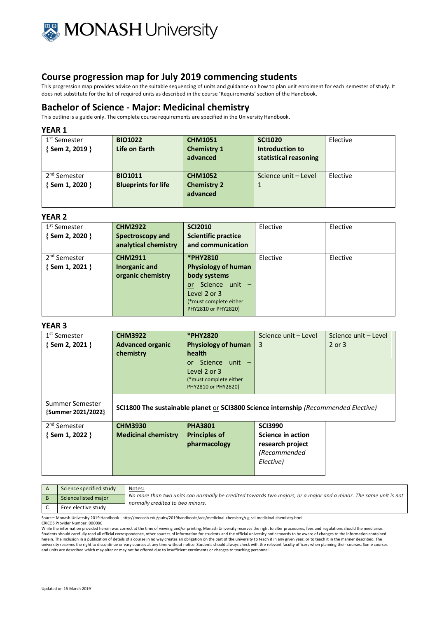

This progression map provides advice on the suitable sequencing of units and guidance on how to plan unit enrolment for each semester of study. It does not substitute for the list of required units as described in the course 'Requirements' section of the Handbook.

# **Bachelor of Science - Major: Medicinal chemistry**

This outline is a guide only. The complete course requirements are specified in the University Handbook.

#### **YEAR 1**

| 1 <sup>st</sup> Semester<br>$\{$ Sem 2, 2019 $\}$ | <b>BIO1022</b><br>Life on Earth              | <b>CHM1051</b><br><b>Chemistry 1</b><br>advanced | <b>SCI1020</b><br>Introduction to<br>statistical reasoning | Elective |
|---------------------------------------------------|----------------------------------------------|--------------------------------------------------|------------------------------------------------------------|----------|
| 2 <sup>nd</sup> Semester<br>{Sem 1, 2020 }        | <b>BIO1011</b><br><b>Blueprints for life</b> | <b>CHM1052</b><br><b>Chemistry 2</b><br>advanced | Science unit - Level                                       | Elective |

#### **YEAR 2**

| 1 <sup>st</sup> Semester<br>{Sem 2, 2020 }        | <b>CHM2922</b><br>Spectroscopy and<br>analytical chemistry | <b>SCI2010</b><br><b>Scientific practice</b><br>and communication                                                                            | Elective | Elective |
|---------------------------------------------------|------------------------------------------------------------|----------------------------------------------------------------------------------------------------------------------------------------------|----------|----------|
| 2 <sup>nd</sup> Semester<br>$\{$ Sem 1, 2021 $\}$ | <b>CHM2911</b><br>Inorganic and<br>organic chemistry       | *PHY2810<br><b>Physiology of human</b><br>body systems<br>or Science unit -<br>Level 2 or 3<br>(*must complete either<br>PHY2810 or PHY2820) | Elective | Elective |

### **YEAR 3**

| 1 <sup>st</sup> Semester | <b>CHM3922</b>                                                                      | *PHY2820                   | Science unit - Level | Science unit - Level |
|--------------------------|-------------------------------------------------------------------------------------|----------------------------|----------------------|----------------------|
| {Sem 2, 2021 }           | <b>Advanced organic</b>                                                             | <b>Physiology of human</b> | 3                    | 2 or 3               |
|                          | chemistry                                                                           | <b>health</b>              |                      |                      |
|                          |                                                                                     | Science unit –<br>or       |                      |                      |
|                          |                                                                                     | Level 2 or 3               |                      |                      |
|                          |                                                                                     | (*must complete either     |                      |                      |
|                          |                                                                                     | PHY2810 or PHY2820)        |                      |                      |
| Summer Semester          |                                                                                     |                            |                      |                      |
| {Summer 2021/2022}       | SCI1800 The sustainable planet or SCI3800 Science internship (Recommended Elective) |                            |                      |                      |
|                          |                                                                                     |                            |                      |                      |
| 2 <sup>nd</sup> Semester | <b>CHM3930</b>                                                                      | <b>PHA3801</b>             | <b>SCI3990</b>       |                      |
| $\{$ Sem 1, 2022 $\}$    | <b>Medicinal chemistry</b>                                                          | <b>Principles of</b>       | Science in action    |                      |
|                          |                                                                                     | pharmacology               | research project     |                      |
|                          |                                                                                     |                            | (Recommended         |                      |
|                          |                                                                                     |                            | Elective)            |                      |
|                          |                                                                                     |                            |                      |                      |

| Science specified study | Notes:                                                                                                                                               |
|-------------------------|------------------------------------------------------------------------------------------------------------------------------------------------------|
| Science listed major    | No more than two units can normally be credited towards two majors, or a major and a minor. The same unit is not<br>normally credited to two minors. |
| Free elective study     |                                                                                                                                                      |
|                         |                                                                                                                                                      |

Source: Monash University 2019 Handbook - http://monash.edu/pubs/2019handbooks/aos/medicinal-chemistry/ug-sci-medicinal-chemistry.html

CRICOS Provider Number: 00008C

While the information provided herein was correct at the time of viewing and/or printing, Monash University reserves the right to alter procedures, fees and regulations should the need arise.<br>Students should carefully read herein. The inclusion in a publication of details of a course in no way creates an obligation on the part of the university to teach it in any given year, or to teach it in the manner described. The<br>university reserves the and units are described which may alter or may not be offered due to insufficient enrolments or changes to teaching personnel.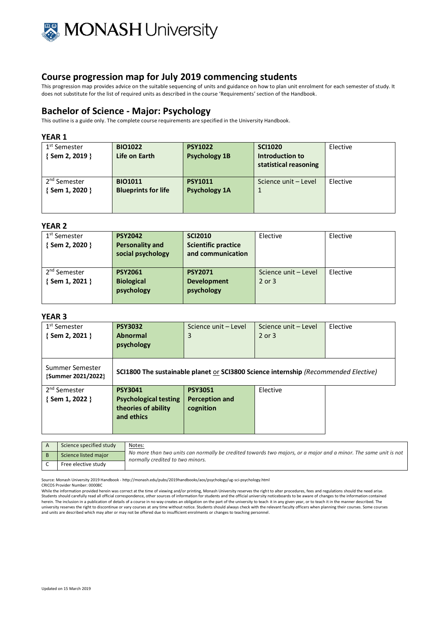

This progression map provides advice on the suitable sequencing of units and guidance on how to plan unit enrolment for each semester of study. It does not substitute for the list of required units as described in the course 'Requirements' section of the Handbook.

# **Bachelor of Science - Major: Psychology**

This outline is a guide only. The complete course requirements are specified in the University Handbook.

### **YEAR 1**

| 1 <sup>st</sup> Semester<br>$\{$ Sem 2, 2019 $\}$ | <b>BIO1022</b><br>Life on Earth | <b>PSY1022</b><br><b>Psychology 1B</b> | <b>SCI1020</b><br>Introduction to<br>statistical reasoning | Elective |
|---------------------------------------------------|---------------------------------|----------------------------------------|------------------------------------------------------------|----------|
| 2 <sup>nd</sup> Semester                          | <b>BIO1011</b>                  | <b>PSY1011</b>                         | Science unit - Level                                       | Elective |
| {Sem 1, 2020 }                                    | <b>Blueprints for life</b>      | <b>Psychology 1A</b>                   | 1                                                          |          |

#### **YEAR 2**

| 1 <sup>st</sup> Semester<br>$\{$ Sem 2, 2020 $\}$ | <b>PSY2042</b><br><b>Personality and</b><br>social psychology | <b>SCI2010</b><br><b>Scientific practice</b><br>and communication | Elective                       | Elective |
|---------------------------------------------------|---------------------------------------------------------------|-------------------------------------------------------------------|--------------------------------|----------|
| 2 <sup>nd</sup> Semester<br>{ Sem 1, 2021 }       | <b>PSY2061</b><br><b>Biological</b><br>psychology             | <b>PSY2071</b><br><b>Development</b><br>psychology                | Science unit - Level<br>2 or 3 | Elective |

#### **YEAR 3**

| 1 <sup>st</sup> Semester<br>{ Sem 2, 2021 } | <b>PSY3032</b><br><b>Abnormal</b><br>psychology                                     | Science unit - Level<br>3                                                           | Science unit - Level<br>$2$ or $3$ | Elective |
|---------------------------------------------|-------------------------------------------------------------------------------------|-------------------------------------------------------------------------------------|------------------------------------|----------|
| Summer Semester<br>{Summer 2021/2022}       |                                                                                     | SCI1800 The sustainable planet or SCI3800 Science internship (Recommended Elective) |                                    |          |
| 2 <sup>nd</sup> Semester<br>{Sem 1, 2022 }  | <b>PSY3041</b><br><b>Psychological testing</b><br>theories of ability<br>and ethics | <b>PSY3051</b><br><b>Perception and</b><br>cognition                                | Elective                           |          |

| Science specified study | Notes:                                                                                                                                               |
|-------------------------|------------------------------------------------------------------------------------------------------------------------------------------------------|
| Science listed major    | No more than two units can normally be credited towards two majors, or a major and a minor. The same unit is not<br>normally credited to two minors. |
| Free elective study     |                                                                                                                                                      |

Source: Monash University 2019 Handbook - http://monash.edu/pubs/2019handbooks/aos/psychology/ug-sci-psychology.html

CRICOS Provider Number: 00008C

While the information provided herein was correct at the time of viewing and/or printing, Monash University reserves the right to alter procedures, fees and regulations should the need arise.<br>Students should carefully read herein. The inclusion in a publication of details of a course in no way creates an obligation on the part of the university to teach it in any given year, or to teach it in the manner described. The<br>university reserves the and units are described which may alter or may not be offered due to insufficient enrolments or changes to teaching personnel.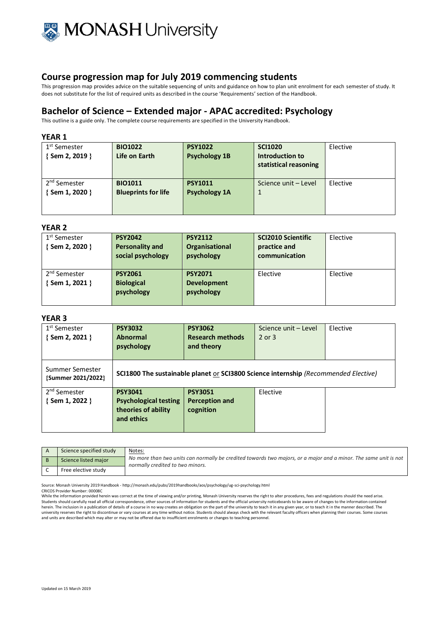

This progression map provides advice on the suitable sequencing of units and guidance on how to plan unit enrolment for each semester of study. It does not substitute for the list of required units as described in the course 'Requirements' section of the Handbook.

# **Bachelor of Science – Extended major - APAC accredited: Psychology**

This outline is a guide only. The complete course requirements are specified in the University Handbook.

### **YEAR 1**

| 1 <sup>st</sup> Semester<br>$\{$ Sem 2, 2019 $\}$ | <b>BIO1022</b><br>Life on Earth | <b>PSY1022</b><br><b>Psychology 1B</b> | <b>SCI1020</b><br>Introduction to<br>statistical reasoning | Elective |
|---------------------------------------------------|---------------------------------|----------------------------------------|------------------------------------------------------------|----------|
| 2 <sup>nd</sup> Semester                          | <b>BIO1011</b>                  | <b>PSY1011</b>                         | Science unit - Level                                       | Elective |
| {Sem 1, 2020 }                                    | <b>Blueprints for life</b>      | <b>Psychology 1A</b>                   |                                                            |          |
|                                                   |                                 |                                        |                                                            |          |
|                                                   |                                 |                                        |                                                            |          |

### **YEAR 2**

| 1 <sup>st</sup> Semester<br>{ Sem 2, 2020 } | <b>PSY2042</b><br><b>Personality and</b><br>social psychology | <b>PSY2112</b><br><b>Organisational</b><br>psychology | <b>SCI2010 Scientific</b><br>practice and<br>communication | Elective |
|---------------------------------------------|---------------------------------------------------------------|-------------------------------------------------------|------------------------------------------------------------|----------|
| 2 <sup>nd</sup> Semester<br>{Sem 1, 2021 }  | <b>PSY2061</b><br><b>Biological</b><br>psychology             | <b>PSY2071</b><br><b>Development</b><br>psychology    | Elective                                                   | Elective |

## **YEAR 3**

| 1 <sup>st</sup> Semester<br>{ Sem 2, 2021 } | <b>PSY3032</b><br><b>Abnormal</b><br>psychology                                            | <b>PSY3062</b><br><b>Research methods</b><br>and theory | Science unit - Level<br>2 or 3 | Elective |
|---------------------------------------------|--------------------------------------------------------------------------------------------|---------------------------------------------------------|--------------------------------|----------|
| Summer Semester<br>{Summer 2021/2022}       | <b>SCI1800 The sustainable planet or SCI3800 Science internship (Recommended Elective)</b> |                                                         |                                |          |
| 2 <sup>nd</sup> Semester<br>{ Sem 1, 2022 } | <b>PSY3041</b><br><b>Psychological testing</b><br>theories of ability<br>and ethics        | <b>PSY3051</b><br><b>Perception and</b><br>cognition    | Elective                       |          |

| Science specified study | Notes:<br>No more than two units can normally be credited towards two majors, or a major and a minor. The same unit is not<br>normally credited to two minors. |
|-------------------------|----------------------------------------------------------------------------------------------------------------------------------------------------------------|
| Science listed major    |                                                                                                                                                                |
| Free elective study     |                                                                                                                                                                |

Source: Monash University 2019 Handbook - http://monash.edu/pubs/2019handbooks/aos/psychology/ug-sci-psychology.html

CRICOS Provider Number: 00008C

While the information provided herein was correct at the time of viewing and/or printing, Monash University reserves the right to alter procedures, fees and regulations should the need arise. Students should carefully read all official correspondence, other sources of information for students and the official university noticeboards to be aware of changes to the information contained herein. The inclusion in a publication of details of a course in no way creates an obligation on the part of the university to teach it in any given year, or to teach it in the manner described. The university reserves the right to discontinue or vary courses at any time without notice. Students should always check with the relevant faculty officers when planning their courses. Some courses and units are described which may alter or may not be offered due to insufficient enrolments or changes to teaching personnel.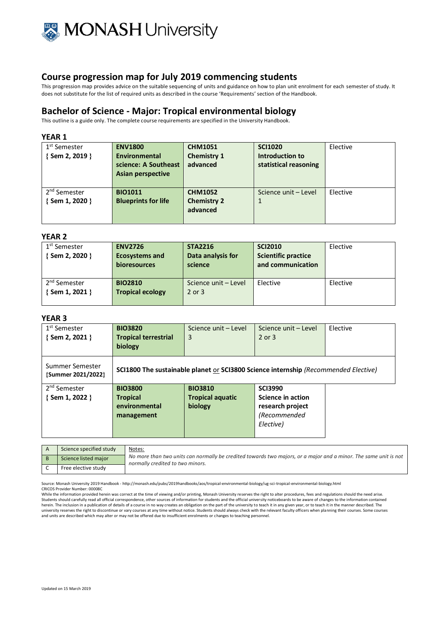

This progression map provides advice on the suitable sequencing of units and guidance on how to plan unit enrolment for each semester of study. It does not substitute for the list of required units as described in the course 'Requirements' section of the Handbook.

# **Bachelor of Science - Major: Tropical environmental biology**

This outline is a guide only. The complete course requirements are specified in the University Handbook.

### **YEAR 1**

| 1 <sup>st</sup> Semester | <b>ENV1800</b>             | <b>CHM1051</b>     | <b>SCI1020</b>        | Elective |
|--------------------------|----------------------------|--------------------|-----------------------|----------|
| {Sem 2, 2019 }           | Environmental              | <b>Chemistry 1</b> | Introduction to       |          |
|                          | science: A Southeast       | advanced           | statistical reasoning |          |
|                          | Asian perspective          |                    |                       |          |
|                          |                            |                    |                       |          |
| 2 <sup>nd</sup> Semester | <b>BIO1011</b>             | <b>CHM1052</b>     | Science unit - Level  | Elective |
| {Sem 1, 2020 }           | <b>Blueprints for life</b> | <b>Chemistry 2</b> | 1                     |          |
|                          |                            | advanced           |                       |          |
|                          |                            |                    |                       |          |

#### **YEAR 2**

| 1 <sup>st</sup> Semester<br>{Sem 2, 2020 } | <b>ENV2726</b><br><b>Ecosystems and</b><br><b>bioresources</b> | <b>STA2216</b><br>Data analysis for<br>science | <b>SCI2010</b><br><b>Scientific practice</b><br>and communication | Elective |
|--------------------------------------------|----------------------------------------------------------------|------------------------------------------------|-------------------------------------------------------------------|----------|
| 2 <sup>nd</sup> Semester<br>{Sem 1, 2021 } | <b>BIO2810</b><br><b>Tropical ecology</b>                      | Science unit - Level<br>$2$ or $3$             | Elective                                                          | Elective |

## **YEAR 3**

| 1 <sup>st</sup> Semester<br>{ Sem 2, 2021 } | <b>BIO3820</b><br><b>Tropical terrestrial</b><br>biology         | Science unit - Level<br>3                            | Science unit - Level<br>$2$ or $3$                                                         | Elective |
|---------------------------------------------|------------------------------------------------------------------|------------------------------------------------------|--------------------------------------------------------------------------------------------|----------|
| Summer Semester<br>{Summer 2021/2022}       |                                                                  |                                                      | <b>SCI1800 The sustainable planet or SCI3800 Science internship (Recommended Elective)</b> |          |
| 2 <sup>nd</sup> Semester<br>{ Sem 1, 2022 } | <b>BIO3800</b><br><b>Tropical</b><br>environmental<br>management | <b>BIO3810</b><br><b>Tropical aquatic</b><br>biology | <b>SCI3990</b><br>Science in action<br>research project<br>(Recommended<br>Elective)       |          |

| Science specified study | Notes:<br>No more than two units can normally be credited towards two majors, or a major and a minor. The same unit is not<br>normally credited to two minors. |
|-------------------------|----------------------------------------------------------------------------------------------------------------------------------------------------------------|
| Science listed major    |                                                                                                                                                                |
| Free elective study     |                                                                                                                                                                |

Source: Monash University 2019 Handbook - http://monash.edu/pubs/2019handbooks/aos/tropical-environmental-biology/ug-sci-tropical-environmental-biology.html CRICOS Provider Number: 00008C

While the information provided herein was correct at the time of viewing and/or printing, Monash University reserves the right to alter procedures, fees and regulations should the need arise. Students should carefully read all official correspondence, other sources of information for students and the official university noticeboards to be aware of changes to the information contained<br>herein. The inclusion in a university reserves the right to discontinue or vary courses at any time without notice. Students should always check with the relevant faculty officers when planning their courses. Some courses and units are described which may alter or may not be offered due to insufficient enrolments or changes to teaching personnel.